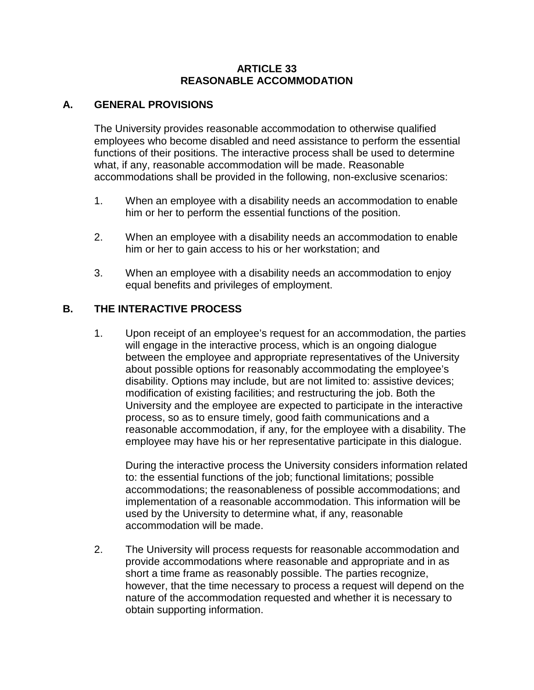#### **ARTICLE 33 REASONABLE ACCOMMODATION**

#### **A. GENERAL PROVISIONS**

The University provides reasonable accommodation to otherwise qualified employees who become disabled and need assistance to perform the essential functions of their positions. The interactive process shall be used to determine what, if any, reasonable accommodation will be made. Reasonable accommodations shall be provided in the following, non-exclusive scenarios:

- 1. When an employee with a disability needs an accommodation to enable him or her to perform the essential functions of the position.
- 2. When an employee with a disability needs an accommodation to enable him or her to gain access to his or her workstation; and
- 3. When an employee with a disability needs an accommodation to enjoy equal benefits and privileges of employment.

### **B. THE INTERACTIVE PROCESS**

1. Upon receipt of an employee's request for an accommodation, the parties will engage in the interactive process, which is an ongoing dialogue between the employee and appropriate representatives of the University about possible options for reasonably accommodating the employee's disability. Options may include, but are not limited to: assistive devices; modification of existing facilities; and restructuring the job. Both the University and the employee are expected to participate in the interactive process, so as to ensure timely, good faith communications and a reasonable accommodation, if any, for the employee with a disability. The employee may have his or her representative participate in this dialogue.

During the interactive process the University considers information related to: the essential functions of the job; functional limitations; possible accommodations; the reasonableness of possible accommodations; and implementation of a reasonable accommodation. This information will be used by the University to determine what, if any, reasonable accommodation will be made.

2. The University will process requests for reasonable accommodation and provide accommodations where reasonable and appropriate and in as short a time frame as reasonably possible. The parties recognize, however, that the time necessary to process a request will depend on the nature of the accommodation requested and whether it is necessary to obtain supporting information.